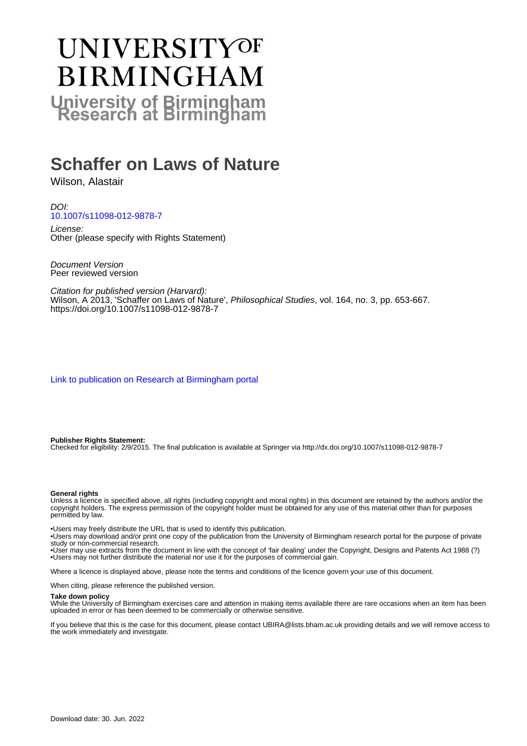# UNIVERSITYOF **BIRMINGHAM University of Birmingham**

# **Schaffer on Laws of Nature**

Wilson, Alastair

DOI: [10.1007/s11098-012-9878-7](https://doi.org/10.1007/s11098-012-9878-7)

License: Other (please specify with Rights Statement)

Document Version Peer reviewed version

Citation for published version (Harvard): Wilson, A 2013, 'Schaffer on Laws of Nature', Philosophical Studies, vol. 164, no. 3, pp. 653-667. <https://doi.org/10.1007/s11098-012-9878-7>

[Link to publication on Research at Birmingham portal](https://birmingham.elsevierpure.com/en/publications/8e940899-266e-47d8-96ff-8bbb98dfb7e1)

#### **Publisher Rights Statement:**

Checked for eligibility: 2/9/2015. The final publication is available at Springer via http://dx.doi.org/10.1007/s11098-012-9878-7

#### **General rights**

Unless a licence is specified above, all rights (including copyright and moral rights) in this document are retained by the authors and/or the copyright holders. The express permission of the copyright holder must be obtained for any use of this material other than for purposes permitted by law.

• Users may freely distribute the URL that is used to identify this publication.

• Users may download and/or print one copy of the publication from the University of Birmingham research portal for the purpose of private study or non-commercial research.

• User may use extracts from the document in line with the concept of 'fair dealing' under the Copyright, Designs and Patents Act 1988 (?) • Users may not further distribute the material nor use it for the purposes of commercial gain.

Where a licence is displayed above, please note the terms and conditions of the licence govern your use of this document.

When citing, please reference the published version.

#### **Take down policy**

While the University of Birmingham exercises care and attention in making items available there are rare occasions when an item has been uploaded in error or has been deemed to be commercially or otherwise sensitive.

If you believe that this is the case for this document, please contact UBIRA@lists.bham.ac.uk providing details and we will remove access to the work immediately and investigate.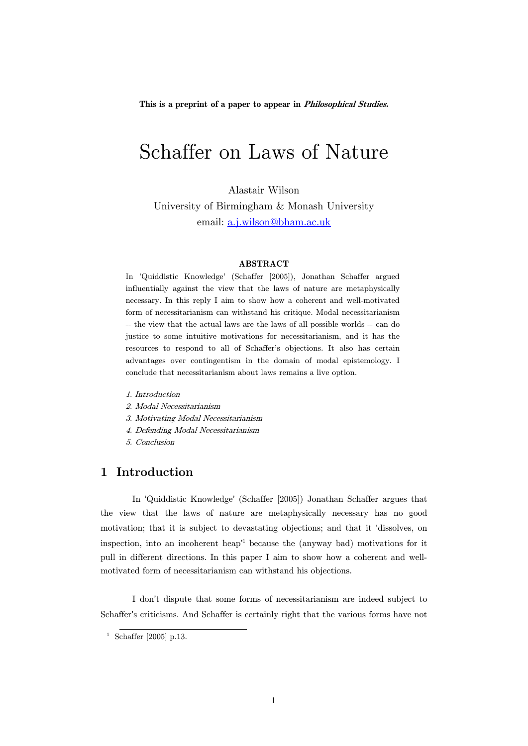This is a preprint of a paper to appear in *Philosophical Studies*.

# Schaffer on Laws of Nature

Alastair Wilson

University of Birmingham & Monash University email: a.j.wilson@bham.ac.uk

#### ABSTRACT

In 'Quiddistic Knowledge' (Schaffer [2005]), Jonathan Schaffer argued influentially against the view that the laws of nature are metaphysically necessary. In this reply I aim to show how a coherent and well-motivated form of necessitarianism can withstand his critique. Modal necessitarianism -- the view that the actual laws are the laws of all possible worlds -- can do justice to some intuitive motivations for necessitarianism, and it has the resources to respond to all of Schaffer's objections. It also has certain advantages over contingentism in the domain of modal epistemology. I conclude that necessitarianism about laws remains a live option.

- 1. Introduction
- 2.Modal Necessitarianism
- 3.Motivating Modal Necessitarianism
- 4.Defending Modal Necessitarianism
- 5.Conclusion

# 1 Introduction

In 'Quiddistic Knowledge' (Schaffer [2005]) Jonathan Schaffer argues that the view that the laws of nature are metaphysically necessary has no good motivation; that it is subject to devastating objections; and that it 'dissolves, on inspection, into an incoherent heap' 1 because the (anyway bad) motivations for it pull in different directions. In this paper I aim to show how a coherent and wellmotivated form of necessitarianism can withstand his objections.

I don't dispute that some forms of necessitarianism are indeed subject to Schaffer's criticisms. And Schaffer is certainly right that the various forms have not

<sup>&</sup>lt;sup>1</sup> Schaffer [2005] p.13.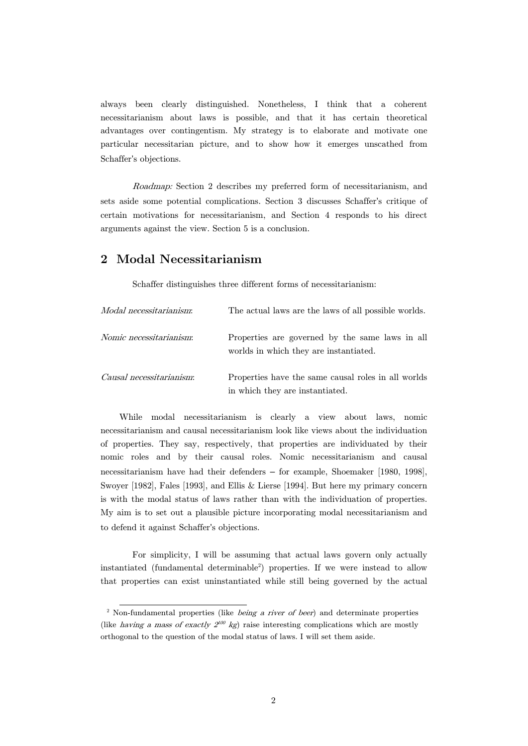always been clearly distinguished. Nonetheless, I think that a coherent necessitarianism about laws is possible, and that it has certain theoretical advantages over contingentism. My strategy is to elaborate and motivate one particular necessitarian picture, and to show how it emerges unscathed from Schaffer's objections.

Roadmap: Section 2 describes my preferred form of necessitarianism, and sets aside some potential complications. Section 3 discusses Schaffer's critique of certain motivations for necessitarianism, and Section 4 responds to his direct arguments against the view. Section 5 is a conclusion.

## 2 Modal Necessitarianism

Schaffer distinguishes three different forms of necessitarianism:

| <i>Modal necessitarianism</i> : | The actual laws are the laws of all possible worlds.                                      |
|---------------------------------|-------------------------------------------------------------------------------------------|
| Nomic necessitarianism:         | Properties are governed by the same laws in all<br>worlds in which they are instantiated. |
| Causal necessitarianism:        | Properties have the same causal roles in all worlds<br>in which they are instantiated.    |

While modal necessitarianism is clearly a view about laws, nomic necessitarianism and causal necessitarianism look like views about the individuation of properties. They say, respectively, that properties are individuated by their nomic roles and by their causal roles. Nomic necessitarianism and causal necessitarianism have had their defenders – for example, Shoemaker [1980, 1998], Swoyer [1982], Fales [1993], and Ellis & Lierse [1994]. But here my primary concern is with the modal status of laws rather than with the individuation of properties. My aim is to set out a plausible picture incorporating modal necessitarianism and to defend it against Schaffer's objections.

For simplicity, I will be assuming that actual laws govern only actually instantiated (fundamental determinable<sup>2</sup>) properties. If we were instead to allow that properties can exist uninstantiated while still being governed by the actual

<sup>&</sup>lt;sup>2</sup> Non-fundamental properties (like *being a river of beer*) and determinate properties (like *having a mass of exactly*  $2^{100}$  *kg*) raise interesting complications which are mostly orthogonal to the question of the modal status of laws. I will set them aside.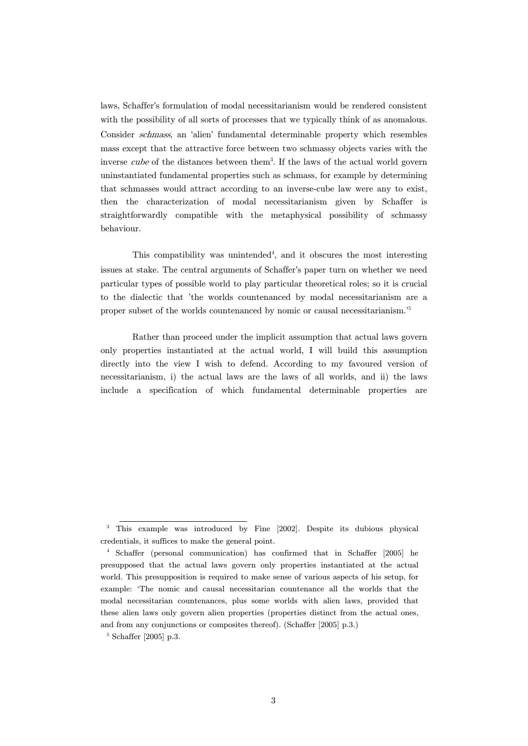laws, Schaffer's formulation of modal necessitarianism would be rendered consistent with the possibility of all sorts of processes that we typically think of as anomalous. Consider schmass, an 'alien' fundamental determinable property which resembles mass except that the attractive force between two schmassy objects varies with the inverse *cube* of the distances between them<sup>3</sup>. If the laws of the actual world govern uninstantiated fundamental properties such as schmass, for example by determining that schmasses would attract according to an inverse-cube law were any to exist, then the characterization of modal necessitarianism given by Schaffer is straightforwardly compatible with the metaphysical possibility of schmassy behaviour.

This compatibility was unintended<sup>4</sup>, and it obscures the most interesting issues at stake. The central arguments of Schaffer's paper turn on whether we need particular types of possible world to play particular theoretical roles; so it is crucial to the dialectic that 'the worlds countenanced by modal necessitarianism are a proper subset of the worlds countenanced by nomic or causal necessitarianism.'5

Rather than proceed under the implicit assumption that actual laws govern only properties instantiated at the actual world, I will build this assumption directly into the view I wish to defend. According to my favoured version of necessitarianism, i) the actual laws are the laws of all worlds, and ii) the laws include a specification of which fundamental determinable properties are

<sup>&</sup>lt;sup>3</sup> This example was introduced by Fine [2002]. Despite its dubious physical credentials, it suffices to make the general point.

<sup>4</sup> Schaffer (personal communication) has confirmed that in Schaffer [2005] he presupposed that the actual laws govern only properties instantiated at the actual world. This presupposition is required to make sense of various aspects of his setup, for example: 'The nomic and causal necessitarian countenance all the worlds that the modal necessitarian countenances, plus some worlds with alien laws, provided that these alien laws only govern alien properties (properties distinct from the actual ones, and from any conjunctions or composites thereof). (Schaffer [2005] p.3.)

<sup>5</sup> Schaffer [2005] p.3.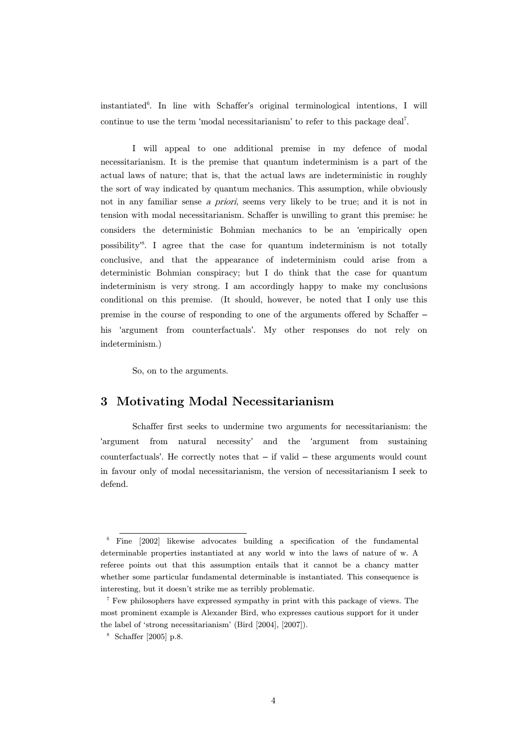instantiated<sup>6</sup>. In line with Schaffer's original terminological intentions, I will continue to use the term 'modal necessitarianism' to refer to this package deal<sup>7</sup>.

I will appeal to one additional premise in my defence of modal necessitarianism. It is the premise that quantum indeterminism is a part of the actual laws of nature; that is, that the actual laws are indeterministic in roughly the sort of way indicated by quantum mechanics. This assumption, while obviously not in any familiar sense a priori, seems very likely to be true; and it is not in tension with modal necessitarianism. Schaffer is unwilling to grant this premise: he considers the deterministic Bohmian mechanics to be an 'empirically open possibility' 8 . I agree that the case for quantum indeterminism is not totally conclusive, and that the appearance of indeterminism could arise from a deterministic Bohmian conspiracy; but I do think that the case for quantum indeterminism is very strong. I am accordingly happy to make my conclusions conditional on this premise. (It should, however, be noted that I only use this premise in the course of responding to one of the arguments offered by Schaffer – his 'argument from counterfactuals'. My other responses do not rely on indeterminism.)

So, on to the arguments.

## 3 Motivating Modal Necessitarianism

Schaffer first seeks to undermine two arguments for necessitarianism: the 'argument from natural necessity' and the 'argument from sustaining counterfactuals'. He correctly notes that  $-$  if valid  $-$  these arguments would count in favour only of modal necessitarianism, the version of necessitarianism I seek to defend.

<sup>6</sup> Fine [2002] likewise advocates building a specification of the fundamental determinable properties instantiated at any world w into the laws of nature of w. A referee points out that this assumption entails that it cannot be a chancy matter whether some particular fundamental determinable is instantiated. This consequence is interesting, but it doesn't strike me as terribly problematic.

<sup>7</sup> Few philosophers have expressed sympathy in print with this package of views. The most prominent example is Alexander Bird, who expresses cautious support for it under the label of 'strong necessitarianism' (Bird [2004], [2007]).

<sup>8</sup> Schaffer [2005] p.8.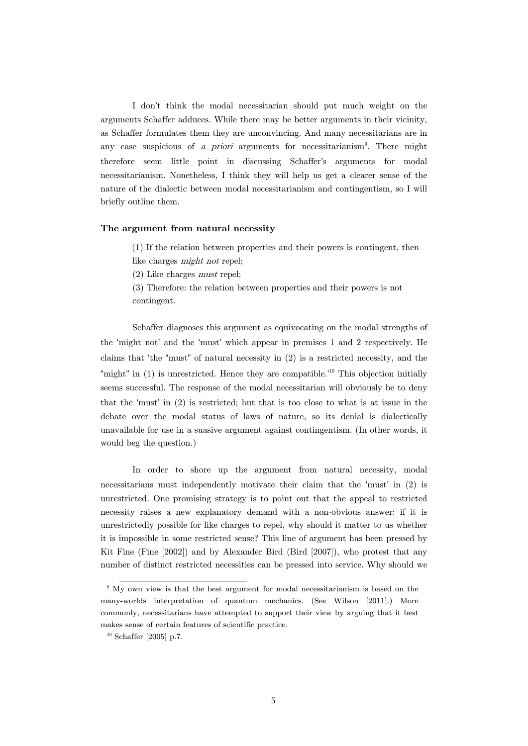I don't think the modal necessitarian should put much weight on the arguments Schaffer adduces. While there may be better arguments in their vicinity, as Schaffer formulates them they are unconvincing. And many necessitarians are in any case suspicious of a *priori* arguments for necessitarianism<sup>9</sup>. There might therefore seem little point in discussing Schaffer's arguments for modal necessitarianism. Nonetheless, I think they will help us get a clearer sense of the nature of the dialectic between modal necessitarianism and contingentism, so I will briefly outline them.

#### The argument from natural necessity

(1) If the relation between properties and their powers is contingent, then

like charges *might not* repel:

(2) Like charges must repel;

(3) Therefore: the relation between properties and their powers is not contingent.

Schaffer diagnoses this argument as equivocating on the modal strengths of the 'might not' and the 'must' which appear in premises 1 and 2 respectively. He claims that 'the "must" of natural necessity in (2) is a restricted necessity, and the "might" in  $(1)$  is unrestricted. Hence they are compatible.<sup>'10</sup> This objection initially seems successful. The response of the modal necessitarian will obviously be to deny that the 'must' in (2) is restricted; but that is too close to what is at issue in the debate over the modal status of laws of nature, so its denial is dialectically unavailable for use in a suasive argument against contingentism. (In other words, it would beg the question.)

In order to shore up the argument from natural necessity, modal necessitarians must independently motivate their claim that the 'must' in (2) is unrestricted. One promising strategy is to point out that the appeal to restricted necessity raises a new explanatory demand with a non-obvious answer: if it is unrestrictedly possible for like charges to repel, why should it matter to us whether it is impossible in some restricted sense? This line of argument has been pressed by Kit Fine (Fine [2002]) and by Alexander Bird (Bird [2007]), who protest that any number of distinct restricted necessities can be pressed into service. Why should we

<sup>&</sup>lt;sup>9</sup> My own view is that the best argument for modal necessitarianism is based on the many-worlds interpretation of quantum mechanics. (See Wilson [2011].) More commonly, necessitarians have attempted to support their view by arguing that it best makes sense of certain features of scientific practice.

 $10$  Schaffer [2005] p.7.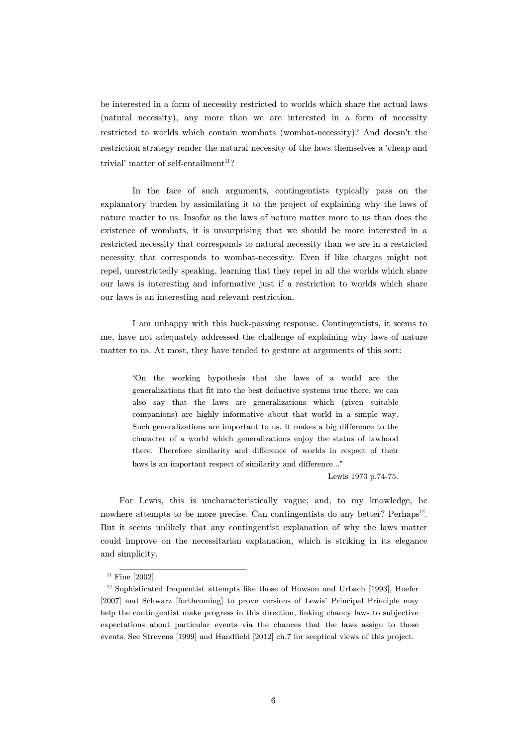be interested in a form of necessity restricted to worlds which share the actual laws (natural necessity), any more than we are interested in a form of necessity restricted to worlds which contain wombats (wombat-necessity)? And doesn't the restriction strategy render the natural necessity of the laws themselves a 'cheap and trivial' matter of self-entailment $11$ ?

In the face of such arguments, contingentists typically pass on the explanatory burden by assimilating it to the project of explaining why the laws of nature matter to us. Insofar as the laws of nature matter more to us than does the existence of wombats, it is unsurprising that we should be more interested in a restricted necessity that corresponds to natural necessity than we are in a restricted necessity that corresponds to wombat-necessity. Even if like charges might not repel, unrestrictedly speaking, learning that they repel in all the worlds which share our laws is interesting and informative just if a restriction to worlds which share our laws is an interesting and relevant restriction.

I am unhappy with this buck-passing response. Contingentists, it seems to me, have not adequately addressed the challenge of explaining why laws of nature matter to us. At most, they have tended to gesture at arguments of this sort:

"On the working hypothesis that the laws of a world are the generalizations that fit into the best deductive systems true there, we can also say that the laws are generalizations which (given suitable companions) are highly informative about that world in a simple way. Such generalizations are important to us. It makes a big difference to the character of a world which generalizations enjoy the status of lawhood there. Therefore similarity and difference of worlds in respect of their laws is an important respect of similarity and difference..."

Lewis 1973 p.74-75.

For Lewis, this is uncharacteristically vague; and, to my knowledge, he nowhere attempts to be more precise. Can contingentists do any better? Perhaps<sup>12</sup>. But it seems unlikely that any contingentist explanation of why the laws matter could improve on the necessitarian explanation, which is striking in its elegance and simplicity.

 $11$  Fine [2002].

<sup>&</sup>lt;sup>12</sup> Sophisticated frequentist attempts like those of Howson and Urbach [1993], Hoefer [2007] and Schwarz [forthcoming] to prove versions of Lewis' Principal Principle may help the contingentist make progress in this direction, linking chancy laws to subjective expectations about particular events via the chances that the laws assign to those events. See Strevens [1999] and Handfield [2012] ch.7 for sceptical views of this project.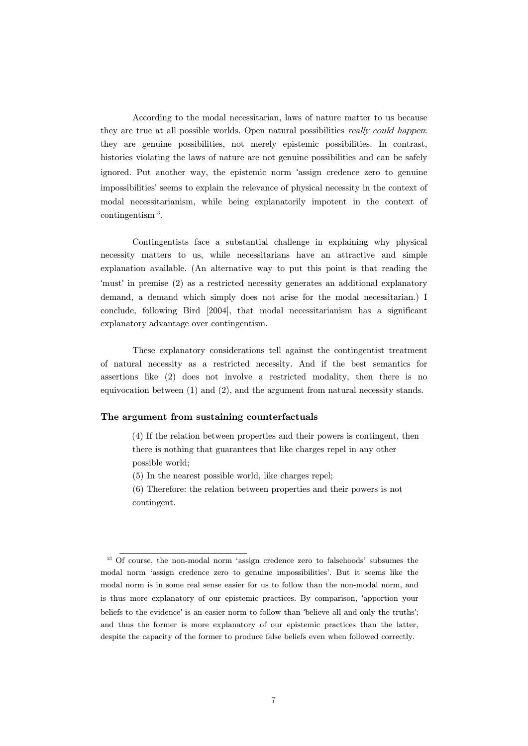According to the modal necessitarian, laws of nature matter to us because they are true at all possible worlds. Open natural possibilities *really could happen*: they are genuine possibilities, not merely epistemic possibilities. In contrast, histories violating the laws of nature are not genuine possibilities and can be safely ignored. Put another way, the epistemic norm 'assign credence zero to genuine impossibilities' seems to explain the relevance of physical necessity in the context of modal necessitarianism, while being explanatorily impotent in the context of contingentism $^{13}$ .

 Contingentists face a substantial challenge in explaining why physical necessity matters to us, while necessitarians have an attractive and simple explanation available. (An alternative way to put this point is that reading the 'must' in premise (2) as a restricted necessity generates an additional explanatory demand, a demand which simply does not arise for the modal necessitarian.) I conclude, following Bird [2004], that modal necessitarianism has a significant explanatory advantage over contingentism.

These explanatory considerations tell against the contingentist treatment of natural necessity as a restricted necessity. And if the best semantics for assertions like (2) does not involve a restricted modality, then there is no equivocation between (1) and (2), and the argument from natural necessity stands.

#### The argument from sustaining counterfactuals

(4) If the relation between properties and their powers is contingent, then there is nothing that guarantees that like charges repel in any other possible world;

(5) In the nearest possible world, like charges repel;

(6) Therefore: the relation between properties and their powers is not contingent.

<sup>&</sup>lt;sup>13</sup> Of course, the non-modal norm 'assign credence zero to falsehoods' subsumes the modal norm 'assign credence zero to genuine impossibilities'. But it seems like the modal norm is in some real sense easier for us to follow than the non-modal norm, and is thus more explanatory of our epistemic practices. By comparison, 'apportion your beliefs to the evidence' is an easier norm to follow than 'believe all and only the truths'; and thus the former is more explanatory of our epistemic practices than the latter, despite the capacity of the former to produce false beliefs even when followed correctly.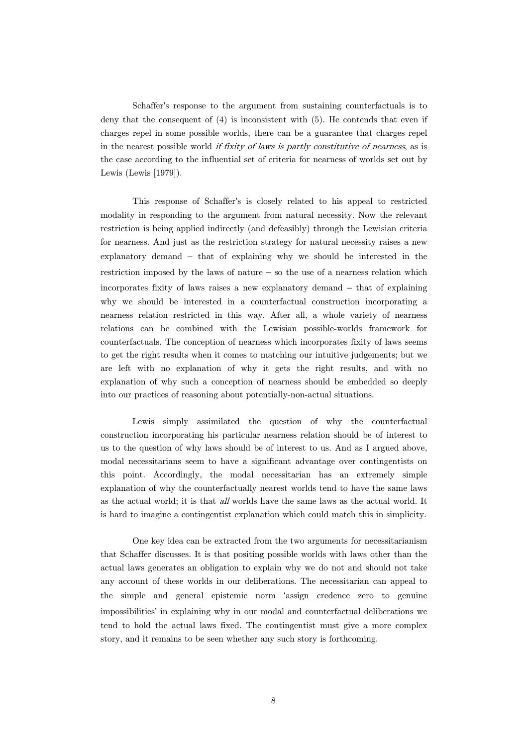Schaffer's response to the argument from sustaining counterfactuals is to deny that the consequent of  $(4)$  is inconsistent with  $(5)$ . He contends that even if charges repel in some possible worlds, there can be a guarantee that charges repel in the nearest possible world *if fixity of laws is partly constitutive of nearness*, as is the case according to the influential set of criteria for nearness of worlds set out by Lewis (Lewis [1979]).

This response of Schaffer's is closely related to his appeal to restricted modality in responding to the argument from natural necessity. Now the relevant restriction is being applied indirectly (and defeasibly) through the Lewisian criteria for nearness. And just as the restriction strategy for natural necessity raises a new explanatory demand – that of explaining why we should be interested in the restriction imposed by the laws of nature  $-$  so the use of a nearness relation which incorporates fixity of laws raises a new explanatory demand – that of explaining why we should be interested in a counterfactual construction incorporating a nearness relation restricted in this way. After all, a whole variety of nearness relations can be combined with the Lewisian possible-worlds framework for counterfactuals. The conception of nearness which incorporates fixity of laws seems to get the right results when it comes to matching our intuitive judgements; but we are left with no explanation of why it gets the right results, and with no explanation of why such a conception of nearness should be embedded so deeply into our practices of reasoning about potentially-non-actual situations.

Lewis simply assimilated the question of why the counterfactual construction incorporating his particular nearness relation should be of interest to us to the question of why laws should be of interest to us. And as I argued above, modal necessitarians seem to have a significant advantage over contingentists on this point. Accordingly, the modal necessitarian has an extremely simple explanation of why the counterfactually nearest worlds tend to have the same laws as the actual world; it is that *all* worlds have the same laws as the actual world. It is hard to imagine a contingentist explanation which could match this in simplicity.

One key idea can be extracted from the two arguments for necessitarianism that Schaffer discusses. It is that positing possible worlds with laws other than the actual laws generates an obligation to explain why we do not and should not take any account of these worlds in our deliberations. The necessitarian can appeal to the simple and general epistemic norm 'assign credence zero to genuine impossibilities' in explaining why in our modal and counterfactual deliberations we tend to hold the actual laws fixed. The contingentist must give a more complex story, and it remains to be seen whether any such story is forthcoming.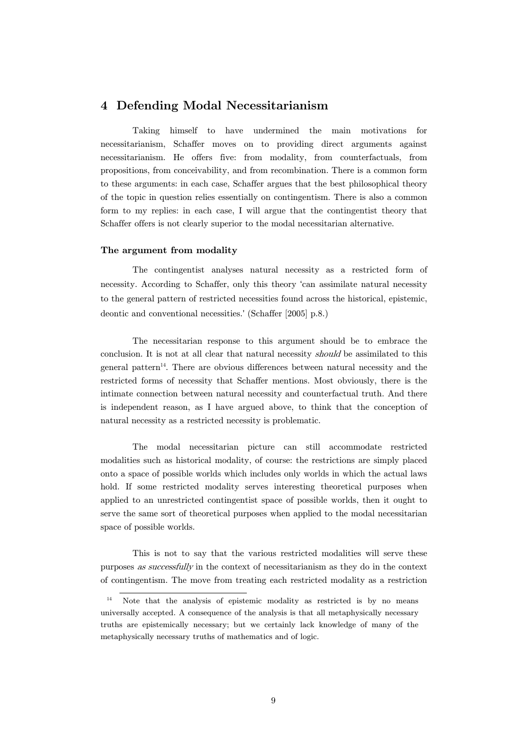# 4 Defending Modal Necessitarianism

Taking himself to have undermined the main motivations for necessitarianism, Schaffer moves on to providing direct arguments against necessitarianism. He offers five: from modality, from counterfactuals, from propositions, from conceivability, and from recombination. There is a common form to these arguments: in each case, Schaffer argues that the best philosophical theory of the topic in question relies essentially on contingentism. There is also a common form to my replies: in each case, I will argue that the contingentist theory that Schaffer offers is not clearly superior to the modal necessitarian alternative.

#### The argument from modality

The contingentist analyses natural necessity as a restricted form of necessity. According to Schaffer, only this theory 'can assimilate natural necessity to the general pattern of restricted necessities found across the historical, epistemic, deontic and conventional necessities.' (Schaffer [2005] p.8.)

The necessitarian response to this argument should be to embrace the conclusion. It is not at all clear that natural necessity *should* be assimilated to this general pattern<sup>14</sup>. There are obvious differences between natural necessity and the restricted forms of necessity that Schaffer mentions. Most obviously, there is the intimate connection between natural necessity and counterfactual truth. And there is independent reason, as I have argued above, to think that the conception of natural necessity as a restricted necessity is problematic.

The modal necessitarian picture can still accommodate restricted modalities such as historical modality, of course: the restrictions are simply placed onto a space of possible worlds which includes only worlds in which the actual laws hold. If some restricted modality serves interesting theoretical purposes when applied to an unrestricted contingentist space of possible worlds, then it ought to serve the same sort of theoretical purposes when applied to the modal necessitarian space of possible worlds.

This is not to say that the various restricted modalities will serve these purposes as successfully in the context of necessitarianism as they do in the context of contingentism. The move from treating each restricted modality as a restriction

<sup>&</sup>lt;sup>14</sup> Note that the analysis of epistemic modality as restricted is by no means universally accepted. A consequence of the analysis is that all metaphysically necessary truths are epistemically necessary; but we certainly lack knowledge of many of the metaphysically necessary truths of mathematics and of logic.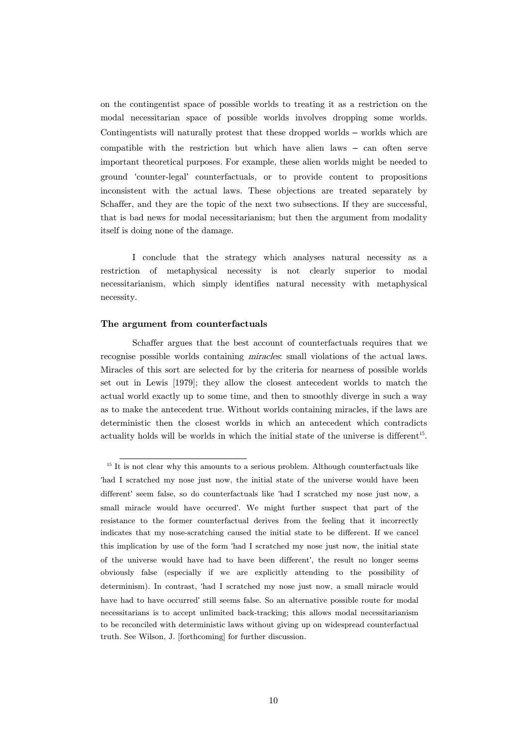on the contingentist space of possible worlds to treating it as a restriction on the modal necessitarian space of possible worlds involves dropping some worlds. Contingentists will naturally protest that these dropped worlds – worlds which are compatible with the restriction but which have alien laws – can often serve important theoretical purposes. For example, these alien worlds might be needed to ground 'counter-legal' counterfactuals, or to provide content to propositions inconsistent with the actual laws. These objections are treated separately by Schaffer, and they are the topic of the next two subsections. If they are successful, that is bad news for modal necessitarianism; but then the argument from modality itself is doing none of the damage.

I conclude that the strategy which analyses natural necessity as a restriction of metaphysical necessity is not clearly superior to modal necessitarianism, which simply identifies natural necessity with metaphysical necessity.

#### The argument from counterfactuals

Schaffer argues that the best account of counterfactuals requires that we recognise possible worlds containing miracles: small violations of the actual laws. Miracles of this sort are selected for by the criteria for nearness of possible worlds set out in Lewis [1979]; they allow the closest antecedent worlds to match the actual world exactly up to some time, and then to smoothly diverge in such a way as to make the antecedent true. Without worlds containing miracles, if the laws are deterministic then the closest worlds in which an antecedent which contradicts actuality holds will be worlds in which the initial state of the universe is different<sup>15</sup>.

<sup>&</sup>lt;sup>15</sup> It is not clear why this amounts to a serious problem. Although counterfactuals like 'had I scratched my nose just now, the initial state of the universe would have been different' seem false, so do counterfactuals like 'had I scratched my nose just now, a small miracle would have occurred'. We might further suspect that part of the resistance to the former counterfactual derives from the feeling that it incorrectly indicates that my nose-scratching caused the initial state to be different. If we cancel this implication by use of the form 'had I scratched my nose just now, the initial state of the universe would have had to have been different', the result no longer seems obviously false (especially if we are explicitly attending to the possibility of determinism). In contrast, 'had I scratched my nose just now, a small miracle would have had to have occurred' still seems false. So an alternative possible route for modal necessitarians is to accept unlimited back-tracking; this allows modal necessitarianism to be reconciled with deterministic laws without giving up on widespread counterfactual truth. See Wilson, J. [forthcoming] for further discussion.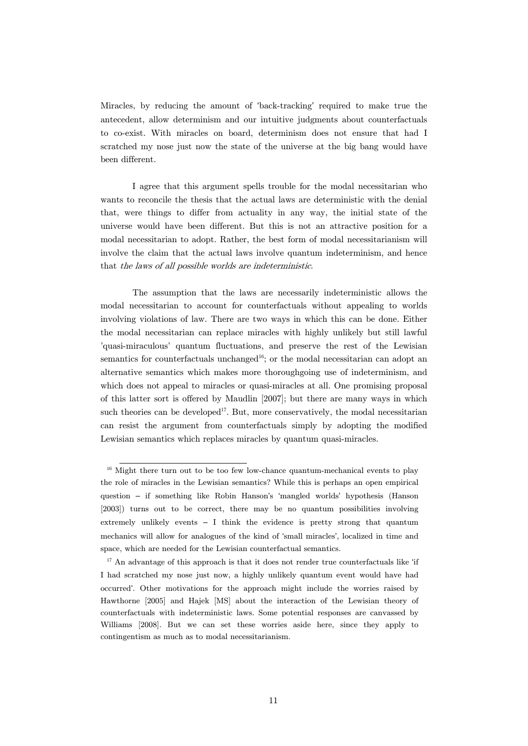Miracles, by reducing the amount of 'back-tracking' required to make true the antecedent, allow determinism and our intuitive judgments about counterfactuals to co-exist. With miracles on board, determinism does not ensure that had I scratched my nose just now the state of the universe at the big bang would have been different.

I agree that this argument spells trouble for the modal necessitarian who wants to reconcile the thesis that the actual laws are deterministic with the denial that, were things to differ from actuality in any way, the initial state of the universe would have been different. But this is not an attractive position for a modal necessitarian to adopt. Rather, the best form of modal necessitarianism will involve the claim that the actual laws involve quantum indeterminism, and hence that the laws of all possible worlds are indeterministic.

The assumption that the laws are necessarily indeterministic allows the modal necessitarian to account for counterfactuals without appealing to worlds involving violations of law. There are two ways in which this can be done. Either the modal necessitarian can replace miracles with highly unlikely but still lawful 'quasi-miraculous' quantum fluctuations, and preserve the rest of the Lewisian semantics for counterfactuals unchanged<sup>16</sup>; or the modal necessitarian can adopt an alternative semantics which makes more thoroughgoing use of indeterminism, and which does not appeal to miracles or quasi-miracles at all. One promising proposal of this latter sort is offered by Maudlin [2007]; but there are many ways in which such theories can be developed<sup>17</sup>. But, more conservatively, the modal necessitarian can resist the argument from counterfactuals simply by adopting the modified Lewisian semantics which replaces miracles by quantum quasi-miracles.

<sup>&</sup>lt;sup>16</sup> Might there turn out to be too few low-chance quantum-mechanical events to play the role of miracles in the Lewisian semantics? While this is perhaps an open empirical question – if something like Robin Hanson's 'mangled worlds' hypothesis (Hanson [2003]) turns out to be correct, there may be no quantum possibilities involving extremely unlikely events – I think the evidence is pretty strong that quantum mechanics will allow for analogues of the kind of 'small miracles', localized in time and space, which are needed for the Lewisian counterfactual semantics.

 $17$  An advantage of this approach is that it does not render true counterfactuals like 'if I had scratched my nose just now, a highly unlikely quantum event would have had occurred'. Other motivations for the approach might include the worries raised by Hawthorne [2005] and Hajek [MS] about the interaction of the Lewisian theory of counterfactuals with indeterministic laws. Some potential responses are canvassed by Williams [2008]. But we can set these worries aside here, since they apply to contingentism as much as to modal necessitarianism.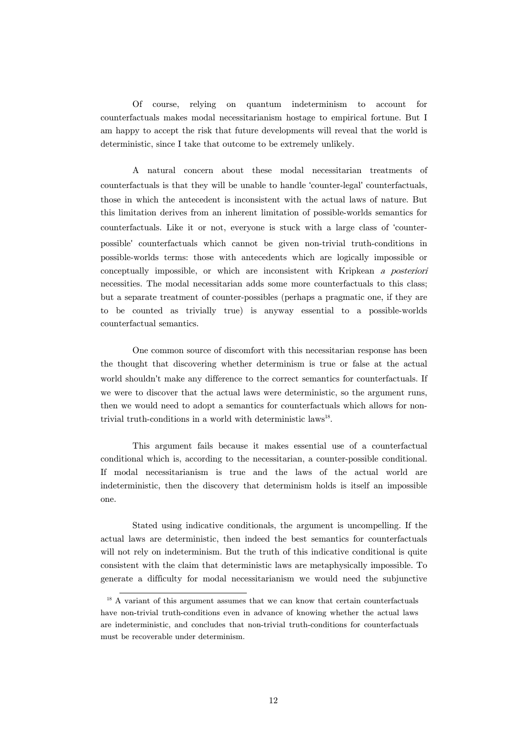Of course, relying on quantum indeterminism to account for counterfactuals makes modal necessitarianism hostage to empirical fortune. But I am happy to accept the risk that future developments will reveal that the world is deterministic, since I take that outcome to be extremely unlikely.

A natural concern about these modal necessitarian treatments of counterfactuals is that they will be unable to handle 'counter-legal' counterfactuals, those in which the antecedent is inconsistent with the actual laws of nature. But this limitation derives from an inherent limitation of possible-worlds semantics for counterfactuals. Like it or not, everyone is stuck with a large class of 'counterpossible' counterfactuals which cannot be given non-trivial truth-conditions in possible-worlds terms: those with antecedents which are logically impossible or conceptually impossible, or which are inconsistent with Kripkean a posteriori necessities. The modal necessitarian adds some more counterfactuals to this class; but a separate treatment of counter-possibles (perhaps a pragmatic one, if they are to be counted as trivially true) is anyway essential to a possible-worlds counterfactual semantics.

One common source of discomfort with this necessitarian response has been the thought that discovering whether determinism is true or false at the actual world shouldn't make any difference to the correct semantics for counterfactuals. If we were to discover that the actual laws were deterministic, so the argument runs, then we would need to adopt a semantics for counterfactuals which allows for nontrivial truth-conditions in a world with deterministic laws<sup>18</sup>.

This argument fails because it makes essential use of a counterfactual conditional which is, according to the necessitarian, a counter-possible conditional. If modal necessitarianism is true and the laws of the actual world are indeterministic, then the discovery that determinism holds is itself an impossible one.

Stated using indicative conditionals, the argument is uncompelling. If the actual laws are deterministic, then indeed the best semantics for counterfactuals will not rely on indeterminism. But the truth of this indicative conditional is quite consistent with the claim that deterministic laws are metaphysically impossible. To generate a difficulty for modal necessitarianism we would need the subjunctive

 $^{18}$  A variant of this argument assumes that we can know that certain counterfactuals have non-trivial truth-conditions even in advance of knowing whether the actual laws are indeterministic, and concludes that non-trivial truth-conditions for counterfactuals must be recoverable under determinism.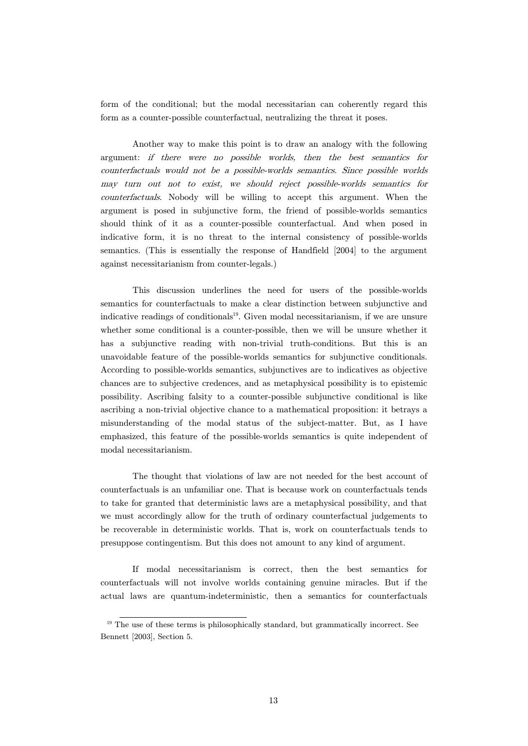form of the conditional; but the modal necessitarian can coherently regard this form as a counter-possible counterfactual, neutralizing the threat it poses.

Another way to make this point is to draw an analogy with the following argument: if there were no possible worlds, then the best semantics for counterfactuals would not be a possible-worlds semantics. Since possible worlds may turn out not to exist, we should reject possible-worlds semantics for counterfactuals. Nobody will be willing to accept this argument. When the argument is posed in subjunctive form, the friend of possible-worlds semantics should think of it as a counter-possible counterfactual. And when posed in indicative form, it is no threat to the internal consistency of possible-worlds semantics. (This is essentially the response of Handfield [2004] to the argument against necessitarianism from counter-legals.)

This discussion underlines the need for users of the possible-worlds semantics for counterfactuals to make a clear distinction between subjunctive and indicative readings of conditionals<sup>19</sup>. Given modal necessitarianism, if we are unsure whether some conditional is a counter-possible, then we will be unsure whether it has a subjunctive reading with non-trivial truth-conditions. But this is an unavoidable feature of the possible-worlds semantics for subjunctive conditionals. According to possible-worlds semantics, subjunctives are to indicatives as objective chances are to subjective credences, and as metaphysical possibility is to epistemic possibility. Ascribing falsity to a counter-possible subjunctive conditional is like ascribing a non-trivial objective chance to a mathematical proposition: it betrays a misunderstanding of the modal status of the subject-matter. But, as I have emphasized, this feature of the possible-worlds semantics is quite independent of modal necessitarianism.

The thought that violations of law are not needed for the best account of counterfactuals is an unfamiliar one. That is because work on counterfactuals tends to take for granted that deterministic laws are a metaphysical possibility, and that we must accordingly allow for the truth of ordinary counterfactual judgements to be recoverable in deterministic worlds. That is, work on counterfactuals tends to presuppose contingentism. But this does not amount to any kind of argument.

If modal necessitarianism is correct, then the best semantics for counterfactuals will not involve worlds containing genuine miracles. But if the actual laws are quantum-indeterministic, then a semantics for counterfactuals

<sup>&</sup>lt;sup>19</sup> The use of these terms is philosophically standard, but grammatically incorrect. See Bennett [2003], Section 5.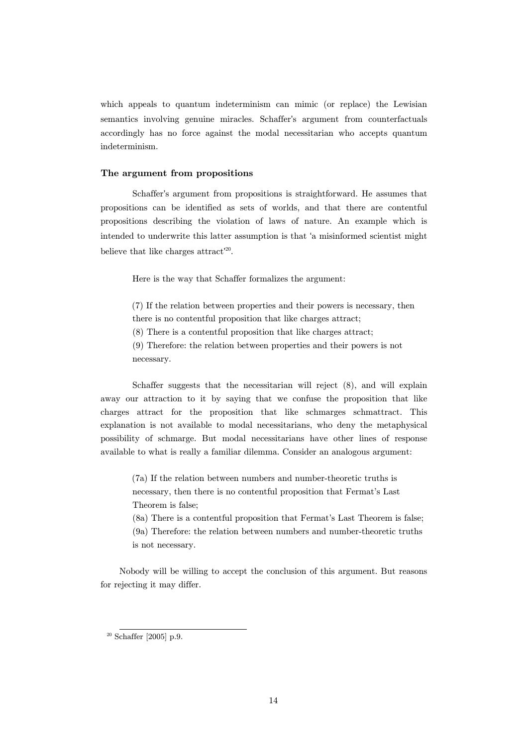which appeals to quantum indeterminism can mimic (or replace) the Lewisian semantics involving genuine miracles. Schaffer's argument from counterfactuals accordingly has no force against the modal necessitarian who accepts quantum indeterminism.

#### The argument from propositions

Schaffer's argument from propositions is straightforward. He assumes that propositions can be identified as sets of worlds, and that there are contentful propositions describing the violation of laws of nature. An example which is intended to underwrite this latter assumption is that 'a misinformed scientist might believe that like charges attract' 20.

Here is the way that Schaffer formalizes the argument:

(7) If the relation between properties and their powers is necessary, then there is no contentful proposition that like charges attract;

(8) There is a contentful proposition that like charges attract;

(9) Therefore: the relation between properties and their powers is not necessary.

Schaffer suggests that the necessitarian will reject  $(8)$ , and will explain away our attraction to it by saying that we confuse the proposition that like charges attract for the proposition that like schmarges schmattract. This explanation is not available to modal necessitarians, who deny the metaphysical possibility of schmarge. But modal necessitarians have other lines of response available to what is really a familiar dilemma. Consider an analogous argument:

(7a) If the relation between numbers and number-theoretic truths is necessary, then there is no contentful proposition that Fermat's Last Theorem is false;

(8a) There is a contentful proposition that Fermat's Last Theorem is false; (9a) Therefore: the relation between numbers and number-theoretic truths is not necessary.

Nobody will be willing to accept the conclusion of this argument. But reasons for rejecting it may differ.

 $20$  Schaffer [2005] p.9.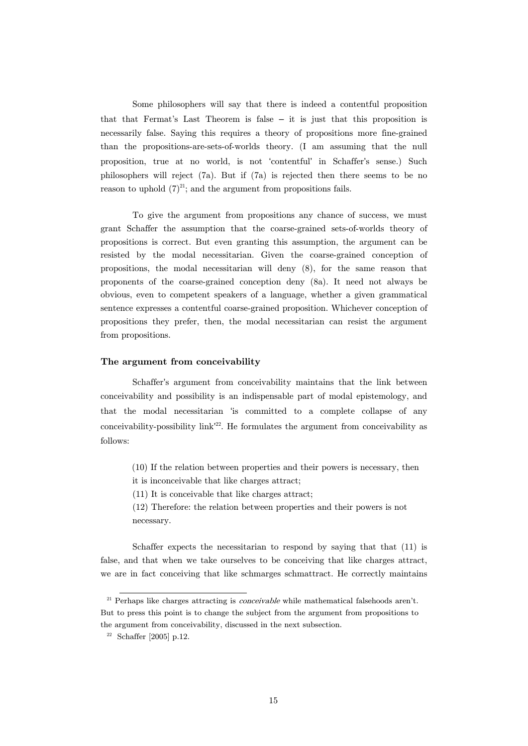Some philosophers will say that there is indeed a contentful proposition that that Fermat's Last Theorem is false – it is just that this proposition is necessarily false. Saying this requires a theory of propositions more fine-grained than the propositions-are-sets-of-worlds theory. (I am assuming that the null proposition, true at no world, is not 'contentful' in Schaffer's sense.) Such philosophers will reject (7a). But if (7a) is rejected then there seems to be no reason to uphold  $(7)^{21}$ ; and the argument from propositions fails.

To give the argument from propositions any chance of success, we must grant Schaffer the assumption that the coarse-grained sets-of-worlds theory of propositions is correct. But even granting this assumption, the argument can be resisted by the modal necessitarian. Given the coarse-grained conception of propositions, the modal necessitarian will deny (8), for the same reason that proponents of the coarse-grained conception deny (8a). It need not always be obvious, even to competent speakers of a language, whether a given grammatical sentence expresses a contentful coarse-grained proposition. Whichever conception of propositions they prefer, then, the modal necessitarian can resist the argument from propositions.

#### The argument from conceivability

Schaffer's argument from conceivability maintains that the link between conceivability and possibility is an indispensable part of modal epistemology, and that the modal necessitarian 'is committed to a complete collapse of any conceivability-possibility link<sup>122</sup>. He formulates the argument from conceivability as follows:

(10) If the relation between properties and their powers is necessary, then

it is inconceivable that like charges attract;

(11) It is conceivable that like charges attract;

(12) Therefore: the relation between properties and their powers is not necessary.

Schaffer expects the necessitarian to respond by saying that that (11) is false, and that when we take ourselves to be conceiving that like charges attract, we are in fact conceiving that like schmarges schmattract. He correctly maintains

<sup>&</sup>lt;sup>21</sup> Perhaps like charges attracting is *conceivable* while mathematical falsehoods aren't. But to press this point is to change the subject from the argument from propositions to the argument from conceivability, discussed in the next subsection.

 $22$  Schaffer [2005] p.12.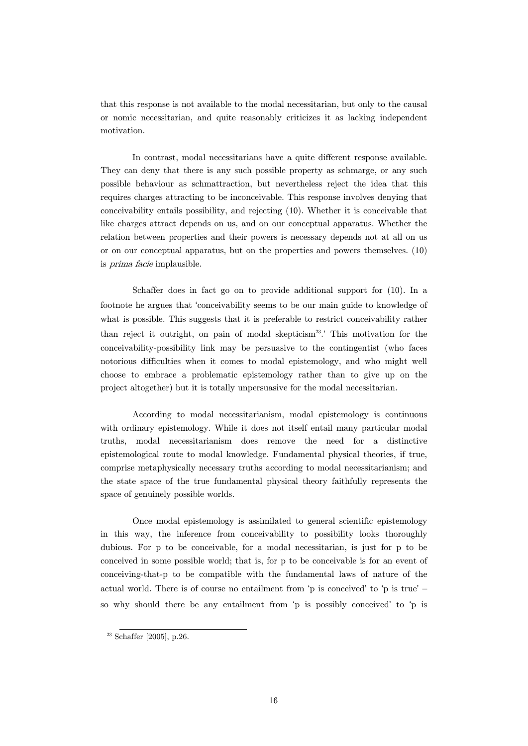that this response is not available to the modal necessitarian, but only to the causal or nomic necessitarian, and quite reasonably criticizes it as lacking independent motivation.

In contrast, modal necessitarians have a quite different response available. They can deny that there is any such possible property as schmarge, or any such possible behaviour as schmattraction, but nevertheless reject the idea that this requires charges attracting to be inconceivable. This response involves denying that conceivability entails possibility, and rejecting (10). Whether it is conceivable that like charges attract depends on us, and on our conceptual apparatus. Whether the relation between properties and their powers is necessary depends not at all on us or on our conceptual apparatus, but on the properties and powers themselves. (10) is prima facie implausible.

Schaffer does in fact go on to provide additional support for (10). In a footnote he argues that 'conceivability seems to be our main guide to knowledge of what is possible. This suggests that it is preferable to restrict conceivability rather than reject it outright, on pain of modal skepticism<sup>23</sup>. This motivation for the conceivability-possibility link may be persuasive to the contingentist (who faces notorious difficulties when it comes to modal epistemology, and who might well choose to embrace a problematic epistemology rather than to give up on the project altogether) but it is totally unpersuasive for the modal necessitarian.

According to modal necessitarianism, modal epistemology is continuous with ordinary epistemology. While it does not itself entail many particular modal truths, modal necessitarianism does remove the need for a distinctive epistemological route to modal knowledge. Fundamental physical theories, if true, comprise metaphysically necessary truths according to modal necessitarianism; and the state space of the true fundamental physical theory faithfully represents the space of genuinely possible worlds.

Once modal epistemology is assimilated to general scientific epistemology in this way, the inference from conceivability to possibility looks thoroughly dubious. For p to be conceivable, for a modal necessitarian, is just for p to be conceived in some possible world; that is, for p to be conceivable is for an event of conceiving-that-p to be compatible with the fundamental laws of nature of the actual world. There is of course no entailment from 'p is conceived' to 'p is true' – so why should there be any entailment from 'p is possibly conceived' to 'p is

 $23$  Schaffer [2005], p.26.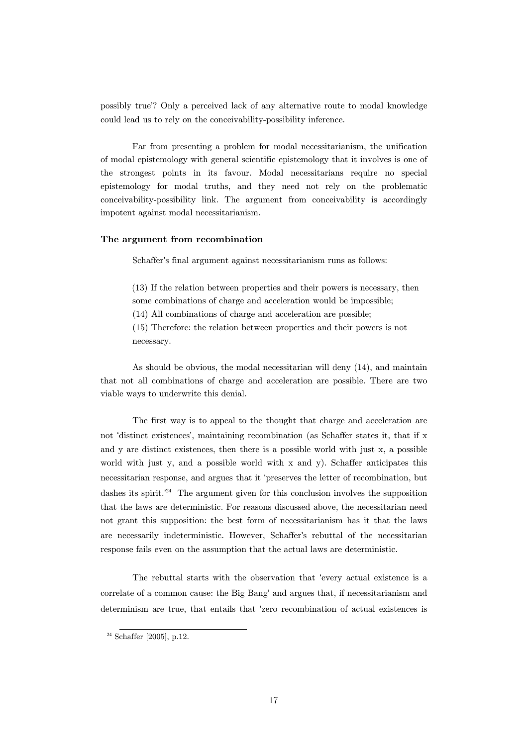possibly true'? Only a perceived lack of any alternative route to modal knowledge could lead us to rely on the conceivability-possibility inference.

Far from presenting a problem for modal necessitarianism, the unification of modal epistemology with general scientific epistemology that it involves is one of the strongest points in its favour. Modal necessitarians require no special epistemology for modal truths, and they need not rely on the problematic conceivability-possibility link. The argument from conceivability is accordingly impotent against modal necessitarianism.

#### The argument from recombination

Schaffer's final argument against necessitarianism runs as follows:

(13) If the relation between properties and their powers is necessary, then some combinations of charge and acceleration would be impossible;

(14) All combinations of charge and acceleration are possible;

(15) Therefore: the relation between properties and their powers is not necessary.

As should be obvious, the modal necessitarian will deny (14), and maintain that not all combinations of charge and acceleration are possible. There are two viable ways to underwrite this denial.

The first way is to appeal to the thought that charge and acceleration are not 'distinct existences', maintaining recombination (as Schaffer states it, that if x and y are distinct existences, then there is a possible world with just x, a possible world with just y, and a possible world with x and y). Schaffer anticipates this necessitarian response, and argues that it 'preserves the letter of recombination, but dashes its spirit.<sup>'24</sup> The argument given for this conclusion involves the supposition that the laws are deterministic. For reasons discussed above, the necessitarian need not grant this supposition: the best form of necessitarianism has it that the laws are necessarily indeterministic. However, Schaffer's rebuttal of the necessitarian response fails even on the assumption that the actual laws are deterministic.

The rebuttal starts with the observation that 'every actual existence is a correlate of a common cause: the Big Bang' and argues that, if necessitarianism and determinism are true, that entails that 'zero recombination of actual existences is

 $24$  Schaffer [2005], p.12.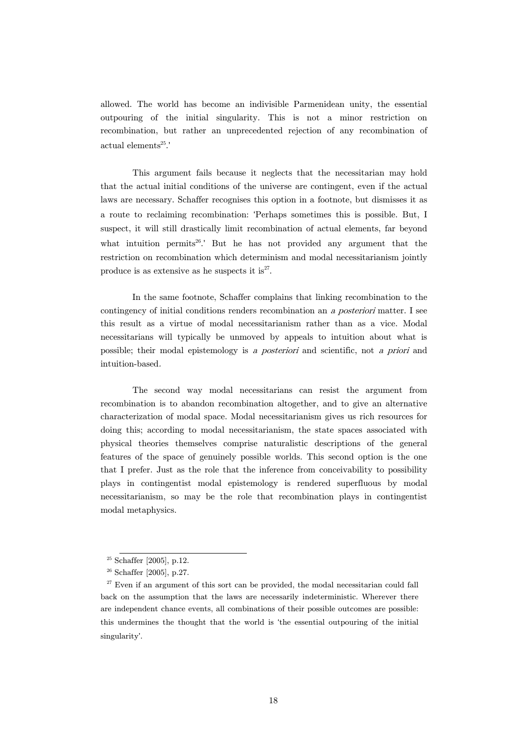allowed. The world has become an indivisible Parmenidean unity, the essential outpouring of the initial singularity. This is not a minor restriction on recombination, but rather an unprecedented rejection of any recombination of  $actual$  elements<sup>25</sup>.'

This argument fails because it neglects that the necessitarian may hold that the actual initial conditions of the universe are contingent, even if the actual laws are necessary. Schaffer recognises this option in a footnote, but dismisses it as a route to reclaiming recombination: 'Perhaps sometimes this is possible. But, I suspect, it will still drastically limit recombination of actual elements, far beyond what intuition permits<sup>26</sup>.' But he has not provided any argument that the restriction on recombination which determinism and modal necessitarianism jointly produce is as extensive as he suspects it is $^{27}$ .

In the same footnote, Schaffer complains that linking recombination to the contingency of initial conditions renders recombination an a posteriori matter. I see this result as a virtue of modal necessitarianism rather than as a vice. Modal necessitarians will typically be unmoved by appeals to intuition about what is possible; their modal epistemology is a posteriori and scientific, not a priori and intuition-based.

The second way modal necessitarians can resist the argument from recombination is to abandon recombination altogether, and to give an alternative characterization of modal space. Modal necessitarianism gives us rich resources for doing this; according to modal necessitarianism, the state spaces associated with physical theories themselves comprise naturalistic descriptions of the general features of the space of genuinely possible worlds. This second option is the one that I prefer. Just as the role that the inference from conceivability to possibility plays in contingentist modal epistemology is rendered superfluous by modal necessitarianism, so may be the role that recombination plays in contingentist modal metaphysics.

 $25$  Schaffer [2005], p.12.

 $26$  Schaffer [2005], p.27.

 $27$  Even if an argument of this sort can be provided, the modal necessitarian could fall back on the assumption that the laws are necessarily indeterministic. Wherever there are independent chance events, all combinations of their possible outcomes are possible: this undermines the thought that the world is 'the essential outpouring of the initial singularity'.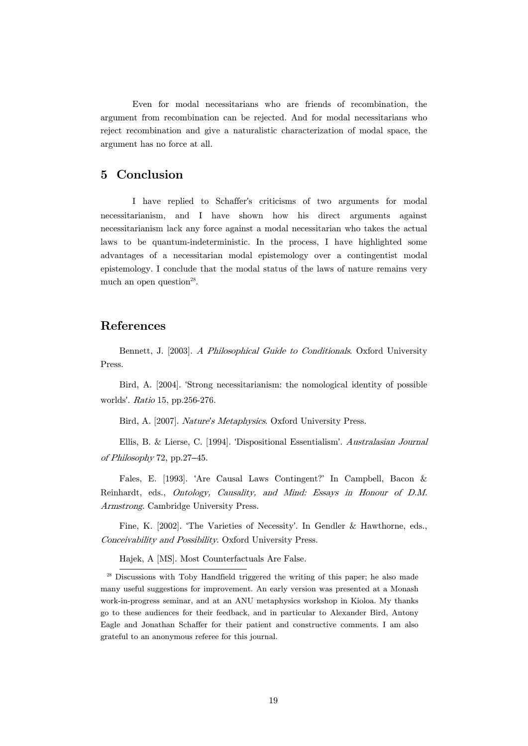Even for modal necessitarians who are friends of recombination, the argument from recombination can be rejected. And for modal necessitarians who reject recombination and give a naturalistic characterization of modal space, the argument has no force at all.

### 5 Conclusion

I have replied to Schaffer's criticisms of two arguments for modal necessitarianism, and I have shown how his direct arguments against necessitarianism lack any force against a modal necessitarian who takes the actual laws to be quantum-indeterministic. In the process, I have highlighted some advantages of a necessitarian modal epistemology over a contingentist modal epistemology. I conclude that the modal status of the laws of nature remains very much an open question $^{28}$ .

# References

Bennett, J. [2003]. A Philosophical Guide to Conditionals. Oxford University Press.

Bird, A. [2004]. 'Strong necessitarianism: the nomological identity of possible worlds'. Ratio 15, pp.256-276.

Bird, A. [2007]. Nature*'*s Metaphysics. Oxford University Press.

Ellis, B. & Lierse, C. [1994]. 'Dispositional Essentialism'. Australasian Journal of Philosophy 72, pp.27–45.

Fales, E. [1993]. 'Are Causal Laws Contingent?' In Campbell, Bacon & Reinhardt, eds., Ontology, Causality, and Mind: Essays in Honour of D.M. Armstrong. Cambridge University Press.

Fine, K. [2002]. 'The Varieties of Necessity'. In Gendler & Hawthorne, eds., Conceivability and Possibility. Oxford University Press.

Hajek, A [MS]. Most Counterfactuals Are False.

<sup>&</sup>lt;sup>28</sup> Discussions with Toby Handfield triggered the writing of this paper; he also made many useful suggestions for improvement. An early version was presented at a Monash work-in-progress seminar, and at an ANU metaphysics workshop in Kioloa. My thanks go to these audiences for their feedback, and in particular to Alexander Bird, Antony Eagle and Jonathan Schaffer for their patient and constructive comments. I am also grateful to an anonymous referee for this journal.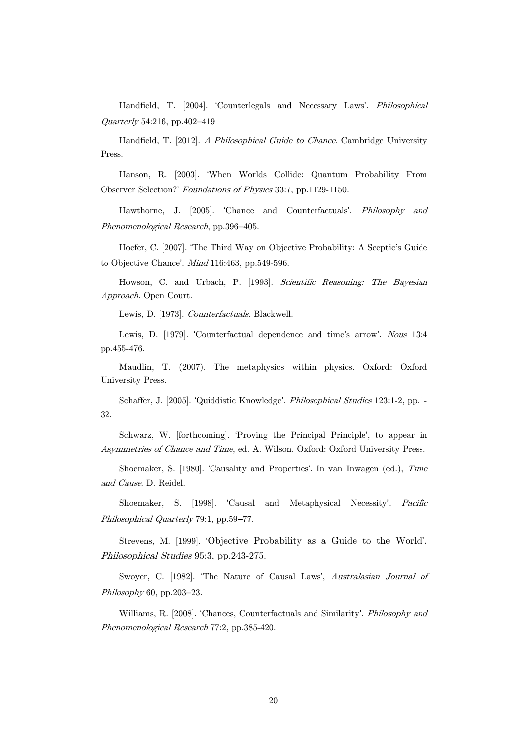Handfield, T. [2004]. 'Counterlegals and Necessary Laws'. Philosophical Quarterly 54:216, pp.402–419

Handfield, T. [2012]. A Philosophical Guide to Chance. Cambridge University Press.

Hanson, R. [2003]. 'When Worlds Collide: Quantum Probability From Observer Selection?' Foundations of Physics 33:7, pp.1129-1150.

Hawthorne, J. [2005]. 'Chance and Counterfactuals'. Philosophy and Phenomenological Research, pp.396–405.

Hoefer, C. [2007]. 'The Third Way on Objective Probability: A Sceptic's Guide to Objective Chance'. Mind 116:463, pp.549-596.

Howson, C. and Urbach, P. [1993]. Scientific Reasoning: The Bayesian Approach. Open Court.

Lewis, D. [1973]. Counterfactuals. Blackwell.

Lewis, D. [1979]. 'Counterfactual dependence and time's arrow'. Nous 13:4 pp.455-476.

Maudlin, T. (2007). The metaphysics within physics. Oxford: Oxford University Press.

Schaffer, J. [2005]. 'Quiddistic Knowledge'. Philosophical Studies 123:1-2, pp.1- 32.

Schwarz, W. [forthcoming]. 'Proving the Principal Principle', to appear in Asymmetries of Chance and Time, ed. A. Wilson. Oxford: Oxford University Press.

Shoemaker, S. [1980]. 'Causality and Properties'. In van Inwagen (ed.), Time and Cause. D. Reidel.

Shoemaker, S. [1998]. 'Causal and Metaphysical Necessity'. Pacific Philosophical Quarterly 79:1, pp.59–77.

Strevens, M. [1999]. 'Objective Probability as a Guide to the World'. Philosophical Studies 95:3, pp.243-275.

Swoyer, C. [1982]. 'The Nature of Causal Laws', Australasian Journal of Philosophy 60, pp.203-23.

Williams, R. [2008]. 'Chances, Counterfactuals and Similarity'. Philosophy and Phenomenological Research 77:2, pp.385-420.